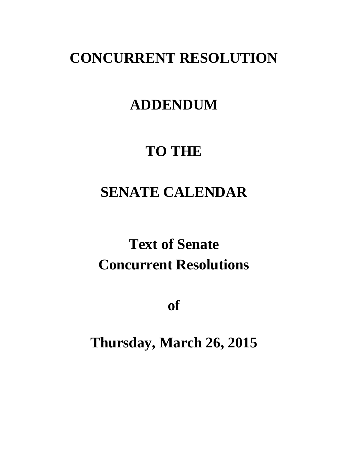# **CONCURRENT RESOLUTION**

# **ADDENDUM**

# **TO THE**

# **SENATE CALENDAR**

# **Text of Senate Concurrent Resolutions**

**of**

**Thursday, March 26, 2015**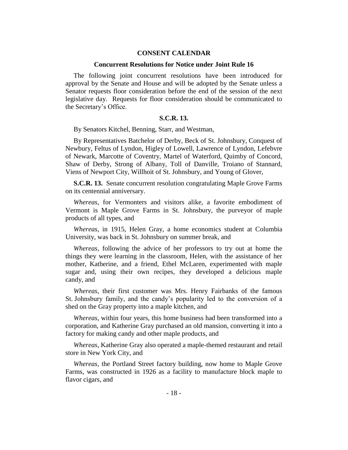### **CONSENT CALENDAR**

#### **Concurrent Resolutions for Notice under Joint Rule 16**

The following joint concurrent resolutions have been introduced for approval by the Senate and House and will be adopted by the Senate unless a Senator requests floor consideration before the end of the session of the next legislative day. Requests for floor consideration should be communicated to the Secretary's Office.

## **S.C.R. 13.**

By Senators Kitchel, Benning, Starr, and Westman,

By Representatives Batchelor of Derby, Beck of St. Johnsbury, Conquest of Newbury, Feltus of Lyndon, Higley of Lowell, Lawrence of Lyndon, Lefebvre of Newark, Marcotte of Coventry, Martel of Waterford, Quimby of Concord, Shaw of Derby, Strong of Albany, Toll of Danville, Troiano of Stannard, Viens of Newport City, Willhoit of St. Johnsbury, and Young of Glover,

**S.C.R. 13.** Senate concurrent resolution congratulating Maple Grove Farms on its centennial anniversary.

*Whereas*, for Vermonters and visitors alike, a favorite embodiment of Vermont is Maple Grove Farms in St. Johnsbury, the purveyor of maple products of all types, and

*Whereas*, in 1915, Helen Gray, a home economics student at Columbia University, was back in St. Johnsbury on summer break, and

*Whereas*, following the advice of her professors to try out at home the things they were learning in the classroom, Helen, with the assistance of her mother, Katherine, and a friend, Ethel McLaren, experimented with maple sugar and, using their own recipes, they developed a delicious maple candy, and

*Whereas*, their first customer was Mrs. Henry Fairbanks of the famous St. Johnsbury family, and the candy's popularity led to the conversion of a shed on the Gray property into a maple kitchen, and

*Whereas*, within four years, this home business had been transformed into a corporation, and Katherine Gray purchased an old mansion, converting it into a factory for making candy and other maple products, and

*Whereas*, Katherine Gray also operated a maple-themed restaurant and retail store in New York City, and

*Whereas*, the Portland Street factory building, now home to Maple Grove Farms, was constructed in 1926 as a facility to manufacture block maple to flavor cigars, and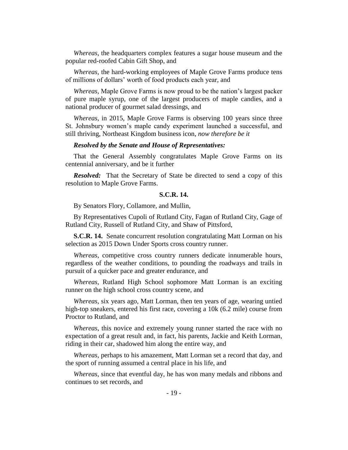*Whereas*, the headquarters complex features a sugar house museum and the popular red-roofed Cabin Gift Shop, and

*Whereas,* the hard-working employees of Maple Grove Farms produce tens of millions of dollars' worth of food products each year, and

*Whereas,* Maple Grove Farms is now proud to be the nation's largest packer of pure maple syrup, one of the largest producers of maple candies, and a national producer of gourmet salad dressings, and

*Whereas*, in 2015, Maple Grove Farms is observing 100 years since three St. Johnsbury women's maple candy experiment launched a successful, and still thriving, Northeast Kingdom business icon, *now therefore be it*

### *Resolved by the Senate and House of Representatives:*

That the General Assembly congratulates Maple Grove Farms on its centennial anniversary, and be it further

*Resolved:* That the Secretary of State be directed to send a copy of this resolution to Maple Grove Farms.

### **S.C.R. 14.**

By Senators Flory, Collamore, and Mullin,

By Representatives Cupoli of Rutland City, Fagan of Rutland City, Gage of Rutland City, Russell of Rutland City, and Shaw of Pittsford,

**S.C.R. 14.** Senate concurrent resolution congratulating Matt Lorman on his selection as 2015 Down Under Sports cross country runner.

*Whereas*, competitive cross country runners dedicate innumerable hours, regardless of the weather conditions, to pounding the roadways and trails in pursuit of a quicker pace and greater endurance, and

*Whereas*, Rutland High School sophomore Matt Lorman is an exciting runner on the high school cross country scene, and

*Whereas*, six years ago, Matt Lorman, then ten years of age, wearing untied high-top sneakers, entered his first race, covering a 10k (6.2 mile) course from Proctor to Rutland, and

*Whereas*, this novice and extremely young runner started the race with no expectation of a great result and, in fact, his parents, Jackie and Keith Lorman, riding in their car, shadowed him along the entire way, and

*Whereas*, perhaps to his amazement, Matt Lorman set a record that day, and the sport of running assumed a central place in his life, and

*Whereas*, since that eventful day, he has won many medals and ribbons and continues to set records, and